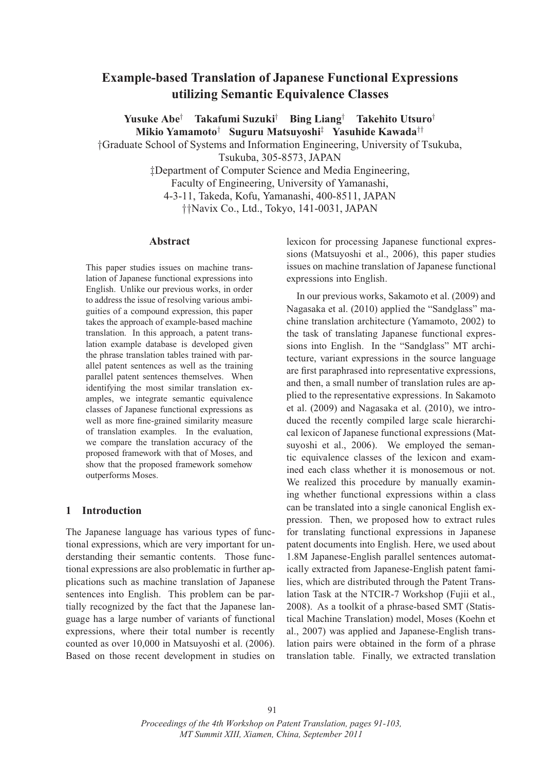# **Example-based Translation of Japanese Functional Expressions utilizing Semantic Equivalence Classes**

**Yusuke Abe**† **Takafumi Suzuki**† **Bing Liang**† **Takehito Utsuro**† **Mikio Yamamoto**† **Suguru Matsuyoshi**‡ **Yasuhide Kawada**††

†Graduate School of Systems and Information Engineering, University of Tsukuba,

Tsukuba, 305-8573, JAPAN

‡Department of Computer Science and Media Engineering, Faculty of Engineering, University of Yamanashi, 4-3-11, Takeda, Kofu, Yamanashi, 400-8511, JAPAN ††Navix Co., Ltd., Tokyo, 141-0031, JAPAN

#### **Abstract**

This paper studies issues on machine translation of Japanese functional expressions into English. Unlike our previous works, in order to address the issue of resolving various ambiguities of a compound expression, this paper takes the approach of example-based machine translation. In this approach, a patent translation example database is developed given the phrase translation tables trained with parallel patent sentences as well as the training parallel patent sentences themselves. When identifying the most similar translation examples, we integrate semantic equivalence classes of Japanese functional expressions as well as more fine-grained similarity measure of translation examples. In the evaluation, we compare the translation accuracy of the proposed framework with that of Moses, and show that the proposed framework somehow outperforms Moses.

#### **1 Introduction**

The Japanese language has various types of functional expressions, which are very important for understanding their semantic contents. Those functional expressions are also problematic in further applications such as machine translation of Japanese sentences into English. This problem can be partially recognized by the fact that the Japanese language has a large number of variants of functional expressions, where their total number is recently counted as over 10,000 in Matsuyoshi et al. (2006). Based on those recent development in studies on lexicon for processing Japanese functional expressions (Matsuyoshi et al., 2006), this paper studies issues on machine translation of Japanese functional expressions into English.

In our previous works, Sakamoto et al. (2009) and Nagasaka et al. (2010) applied the "Sandglass" machine translation architecture (Yamamoto, 2002) to the task of translating Japanese functional expressions into English. In the "Sandglass" MT architecture, variant expressions in the source language are first paraphrased into representative expressions, and then, a small number of translation rules are applied to the representative expressions. In Sakamoto et al. (2009) and Nagasaka et al. (2010), we introduced the recently compiled large scale hierarchical lexicon of Japanese functional expressions (Matsuyoshi et al., 2006). We employed the semantic equivalence classes of the lexicon and examined each class whether it is monosemous or not. We realized this procedure by manually examining whether functional expressions within a class can be translated into a single canonical English expression. Then, we proposed how to extract rules for translating functional expressions in Japanese patent documents into English. Here, we used about 1.8M Japanese-English parallel sentences automatically extracted from Japanese-English patent families, which are distributed through the Patent Translation Task at the NTCIR-7 Workshop (Fujii et al., 2008). As a toolkit of a phrase-based SMT (Statistical Machine Translation) model, Moses (Koehn et al., 2007) was applied and Japanese-English translation pairs were obtained in the form of a phrase translation table. Finally, we extracted translation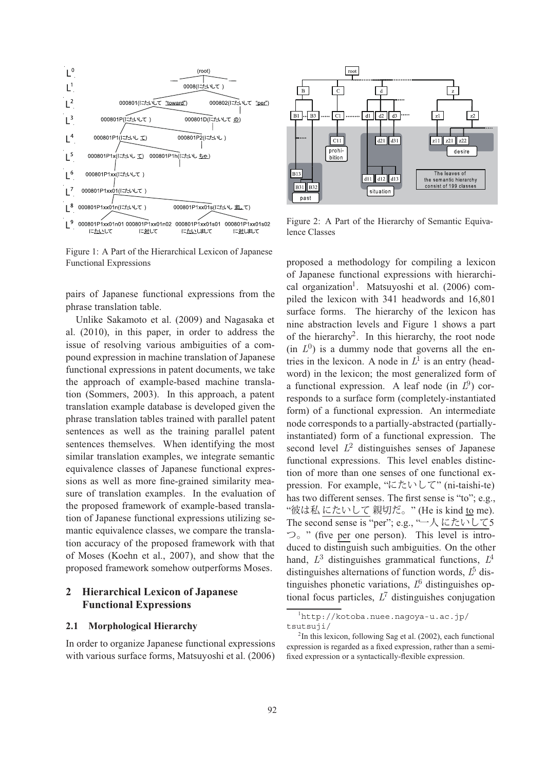

Figure 1: A Part of the Hierarchical Lexicon of Japanese Functional Expressions

pairs of Japanese functional expressions from the phrase translation table.

Unlike Sakamoto et al. (2009) and Nagasaka et al. (2010), in this paper, in order to address the issue of resolving various ambiguities of a compound expression in machine translation of Japanese functional expressions in patent documents, we take the approach of example-based machine translation (Sommers, 2003). In this approach, a patent translation example database is developed given the phrase translation tables trained with parallel patent sentences as well as the training parallel patent sentences themselves. When identifying the most similar translation examples, we integrate semantic equivalence classes of Japanese functional expressions as well as more fine-grained similarity measure of translation examples. In the evaluation of the proposed framework of example-based translation of Japanese functional expressions utilizing semantic equivalence classes, we compare the translation accuracy of the proposed framework with that of Moses (Koehn et al., 2007), and show that the proposed framework somehow outperforms Moses.

# **2 Hierarchical Lexicon of Japanese Functional Expressions**

#### **2.1 Morphological Hierarchy**

In order to organize Japanese functional expressions with various surface forms, Matsuyoshi et al. (2006)



Figure 2: A Part of the Hierarchy of Semantic Equivalence Classes

proposed a methodology for compiling a lexicon of Japanese functional expressions with hierarchical organization<sup>1</sup>. Matsuyoshi et al.  $(2006)$  compiled the lexicon with 341 headwords and 16,801 surface forms. The hierarchy of the lexicon has nine abstraction levels and Figure 1 shows a part of the hierarchy<sup>2</sup>. In this hierarchy, the root node (in  $L^{0}$ ) is a dummy node that governs all the entries in the lexicon. A node in  $L^1$  is an entry (headword) in the lexicon; the most generalized form of a functional expression. A leaf node (in  $L^9$ ) corresponds to a surface form (completely-instantiated form) of a functional expression. An intermediate node corresponds to a partially-abstracted (partiallyinstantiated) form of a functional expression. The second level  $L^2$  distinguishes senses of Japanese functional expressions. This level enables distinction of more than one senses of one functional expression. For example, "にたいして" (ni-taishi-te) has two different senses. The first sense is "to"; e.g., "彼は私 にたいして 親切だ。" (He is kind to me). The second sense is "per"; e.g., "一人にたいして5 つ。" (five per one person). This level is introduced to distinguish such ambiguities. On the other hand,  $L^3$  distinguishes grammatical functions,  $L^4$ distinguishes alternations of function words,  $\bar{L}^5$  distinguishes phonetic variations,  $L^6$  distinguishes optional focus particles,  $L^7$  distinguishes conjugation

<sup>1</sup> http://kotoba.nuee.nagoya-u.ac.jp/ tsutsuji/

<sup>&</sup>lt;sup>2</sup>In this lexicon, following Sag et al. (2002), each functional expression is regarded as a fixed expression, rather than a semifixed expression or a syntactically-flexible expression.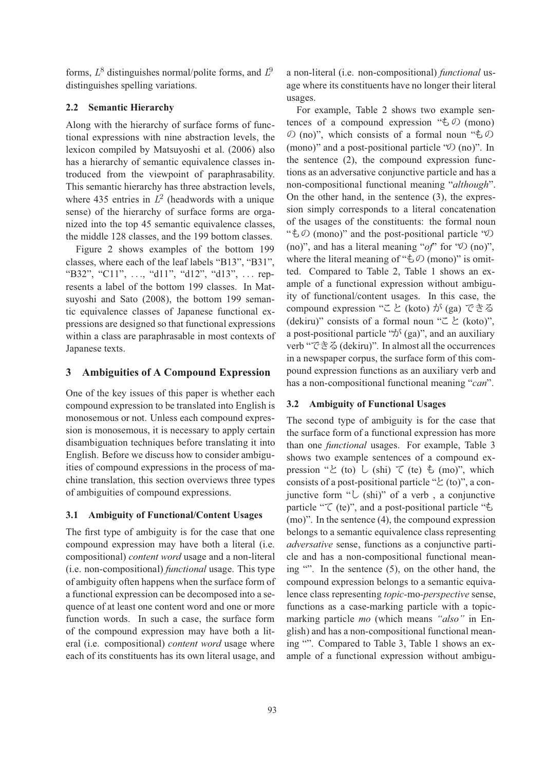forms,  $L^8$  distinguishes normal/polite forms, and  $L^9$ distinguishes spelling variations.

## **2.2 Semantic Hierarchy**

Along with the hierarchy of surface forms of functional expressions with nine abstraction levels, the lexicon compiled by Matsuyoshi et al. (2006) also has a hierarchy of semantic equivalence classes introduced from the viewpoint of paraphrasability. This semantic hierarchy has three abstraction levels, where 435 entries in  $L^2$  (headwords with a unique sense) of the hierarchy of surface forms are organized into the top 45 semantic equivalence classes, the middle 128 classes, and the 199 bottom classes.

Figure 2 shows examples of the bottom 199 classes, where each of the leaf labels "B13", "B31", "B32", "C11", ..., "d11", "d12", "d13", ... represents a label of the bottom 199 classes. In Matsuyoshi and Sato (2008), the bottom 199 semantic equivalence classes of Japanese functional expressions are designed so that functional expressions within a class are paraphrasable in most contexts of Japanese texts.

#### **3 Ambiguities of A Compound Expression**

One of the key issues of this paper is whether each compound expression to be translated into English is monosemous or not. Unless each compound expression is monosemous, it is necessary to apply certain disambiguation techniques before translating it into English. Before we discuss how to consider ambiguities of compound expressions in the process of machine translation, this section overviews three types of ambiguities of compound expressions.

### **3.1 Ambiguity of Functional/Content Usages**

The first type of ambiguity is for the case that one compound expression may have both a literal (i.e. compositional) *content word* usage and a non-literal (i.e. non-compositional) *functional* usage. This type of ambiguity often happens when the surface form of a functional expression can be decomposed into a sequence of at least one content word and one or more function words. In such a case, the surface form of the compound expression may have both a literal (i.e. compositional) *content word* usage where each of its constituents has its own literal usage, and a non-literal (i.e. non-compositional) *functional* usage where its constituents have no longer their literal usages.

For example, Table 2 shows two example sentences of a compound expression " $\&$   $\circ$ ) (mono) の (no)", which consists of a formal noun "もの (mono)" and a post-positional particle " $\mathcal{D}$  (no)". In the sentence (2), the compound expression functions as an adversative conjunctive particle and has a non-compositional functional meaning "*although*". On the other hand, in the sentence (3), the expression simply corresponds to a literal concatenation of the usages of the constituents: the formal noun "もの (mono)" and the post-positional particle "の (no)", and has a literal meaning "*of*" for "の (no)", where the literal meaning of " $\&\mathcal{D}$  (mono)" is omitted. Compared to Table 2, Table 1 shows an example of a functional expression without ambiguity of functional/content usages. In this case, the compound expression "こと (koto) が (ga) できる (dekiru)" consists of a formal noun " $\zeta \gtrsim$  (koto)", a post-positional particle " $\mathcal{D}^{\dagger}$  (ga)", and an auxiliary verb "できる(dekiru)". In almost all the occurrences in a newspaper corpus, the surface form of this compound expression functions as an auxiliary verb and has a non-compositional functional meaning "*can*".

## **3.2 Ambiguity of Functional Usages**

The second type of ambiguity is for the case that the surface form of a functional expression has more than one *functional* usages. For example, Table 3 shows two example sentences of a compound expression "と (to) し (shi) て (te) も (mo)", which consists of a post-positional particle " $\angle$  (to)", a conjunctive form "し (shi)" of a verb , a conjunctive particle " $\zeta$  (te)", and a post-positional particle " $\zeta$ (mo)". In the sentence (4), the compound expression belongs to a semantic equivalence class representing *adversative* sense, functions as a conjunctive particle and has a non-compositional functional meaning "". In the sentence (5), on the other hand, the compound expression belongs to a semantic equivalence class representing *topic-*mo*-perspective* sense, functions as a case-marking particle with a topicmarking particle *mo* (which means *"also"* in English) and has a non-compositional functional meaning "". Compared to Table 3, Table 1 shows an example of a functional expression without ambigu-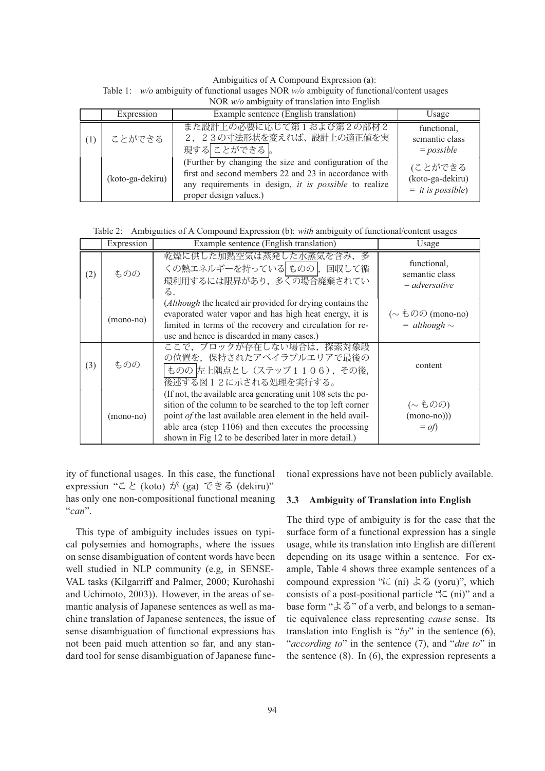Table 1: *w/o* ambiguity of functional usages NOR *w/o* ambiguity of functional/content usages Ambiguities of A Compound Expression (a): NOR *w/o* ambiguity of translation into English

|     | <b>NON</b> <i>W/O</i> amorgancy or mansiation muy English |                                                                                                                                                                                                    |                                                            |  |
|-----|-----------------------------------------------------------|----------------------------------------------------------------------------------------------------------------------------------------------------------------------------------------------------|------------------------------------------------------------|--|
|     | Expression                                                | Example sentence (English translation)                                                                                                                                                             | Usage                                                      |  |
| (1) | ことができる                                                    | また設計上の必要に応じて第1および第2の部材2<br>2, 23の寸法形状を変えれば、設計上の適正値を実<br>現する ことができる 。                                                                                                                               | functional,<br>semantic class<br>$= possible$              |  |
|     | (koto-ga-dekiru)                                          | (Further by changing the size and configuration of the<br>first and second members 22 and 23 in accordance with<br>any requirements in design, it is possible to realize<br>proper design values.) | (ことができる<br>(koto-ga-dekiru)<br>$=$ <i>it is possible</i> ) |  |

Table 2: Ambiguities of A Compound Expression (b): *with* ambiguity of functional/content usages

|     | Expression  | Example sentence (English translation)                                                                                                                                                                                                                                                                        | Usage                                                      |
|-----|-------------|---------------------------------------------------------------------------------------------------------------------------------------------------------------------------------------------------------------------------------------------------------------------------------------------------------------|------------------------------------------------------------|
| (2) | ものの         | 乾燥に供した加熱空気は蒸発した水蒸気を含み、多<br>くの熱エネルギーを持っている ものの, 回収して循<br>環利用するには限界があり、多くの場合廃棄されてい<br>る.                                                                                                                                                                                                                        | functional,<br>semantic class<br>$=$ adversative           |
|     | $(mono-no)$ | (Although the heated air provided for drying contains the<br>evaporated water vapor and has high heat energy, it is<br>limited in terms of the recovery and circulation for re-<br>use and hence is discarded in many cases.)                                                                                 | ( $\sim \xi$ のの (mono-no)<br>$=$ although $\sim$           |
| (3) | ものの         | ここで、ブロックが存在しない場合は、探索対象段<br>の位置を、保持されたアベイラブルエリアで最後の<br>ものの 左上隅点とし (ステップ1106), その後,<br>後述する図12に示される処理を実行する。                                                                                                                                                                                                     | content                                                    |
|     | $(mono-no)$ | (If not, the available area generating unit 108 sets the po-<br>sition of the column to be searched to the top left corner<br>point of the last available area element in the held avail-<br>able area (step 1106) and then executes the processing<br>shown in Fig 12 to be described later in more detail.) | $(\sim \text{\&} \mathcal{OD})$<br>$(mono-no))$<br>$=$ of) |

ity of functional usages. In this case, the functional expression "こと (koto) が (ga) できる (dekiru)" has only one non-compositional functional meaning "*can*".

This type of ambiguity includes issues on typical polysemies and homographs, where the issues on sense disambiguation of content words have been well studied in NLP community (e.g, in SENSE-VAL tasks (Kilgarriff and Palmer, 2000; Kurohashi and Uchimoto, 2003)). However, in the areas of semantic analysis of Japanese sentences as well as machine translation of Japanese sentences, the issue of sense disambiguation of functional expressions has not been paid much attention so far, and any standard tool for sense disambiguation of Japanese functional expressions have not been publicly available.

### **3.3 Ambiguity of Translation into English**

The third type of ambiguity is for the case that the surface form of a functional expression has a single usage, while its translation into English are different depending on its usage within a sentence. For example, Table 4 shows three example sentences of a compound expression "に (ni) よる (yoru)", which consists of a post-positional particle " $\kappa$  (ni)" and a base form "よる" of a verb, and belongs to a semantic equivalence class representing *cause* sense. Its translation into English is " $by$ " in the sentence (6), "*according to*" in the sentence (7), and "*due to*" in the sentence  $(8)$ . In  $(6)$ , the expression represents a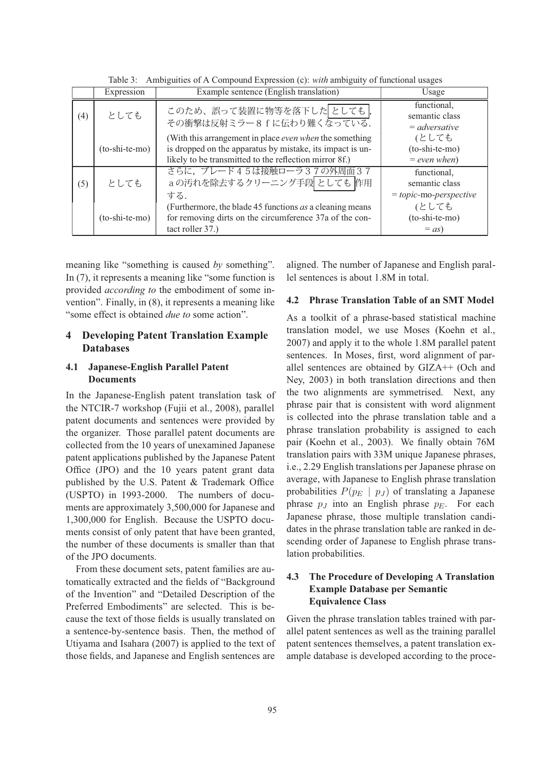|     | Expression       | Example sentence (English translation)                                                                                                                                         | Usage                                                      |
|-----|------------------|--------------------------------------------------------------------------------------------------------------------------------------------------------------------------------|------------------------------------------------------------|
| (4) | としても             | このため、誤って装置に物等を落下したとしても<br>その衝撃は反射ミラー8fに伝わり難くなっている.                                                                                                                             | functional,<br>semantic class<br>$=$ adversative           |
|     | $(to-shi-te-mo)$ | (With this arrangement in place even when the something<br>is dropped on the apparatus by mistake, its impact is un-<br>likely to be transmitted to the reflection mirror 8f.) | (としても<br>(to-shi-te-mo)<br>$= even when$                   |
| (5) | としても             | さらに、ブレード45は接触ローラ37の外周面37<br>aの汚れを除去するクリーニング手段 としても 作用<br>する.                                                                                                                   | functional,<br>semantic class<br>$= topic$ -mo-perspective |
|     | $(to-shi-te-mo)$ | (Furthermore, the blade 45 functions <i>as</i> a cleaning means<br>for removing dirts on the circumference 37a of the con-<br>tact roller 37.)                                 | (としても<br>(to-shi-te-mo)<br>$=$ as)                         |

Table 3: Ambiguities of A Compound Expression (c): *with* ambiguity of functional usages

meaning like "something is caused *by* something". In (7), it represents a meaning like "some function is provided *according to* the embodiment of some invention". Finally, in (8), it represents a meaning like "some effect is obtained *due to* some action".

# **4 Developing Patent Translation Example Databases**

# **4.1 Japanese-English Parallel Patent Documents**

In the Japanese-English patent translation task of the NTCIR-7 workshop (Fujii et al., 2008), parallel patent documents and sentences were provided by the organizer. Those parallel patent documents are collected from the 10 years of unexamined Japanese patent applications published by the Japanese Patent Office (JPO) and the 10 years patent grant data published by the U.S. Patent & Trademark Office (USPTO) in 1993-2000. The numbers of documents are approximately 3,500,000 for Japanese and 1,300,000 for English. Because the USPTO documents consist of only patent that have been granted, the number of these documents is smaller than that of the JPO documents.

From these document sets, patent families are automatically extracted and the fields of "Background of the Invention" and "Detailed Description of the Preferred Embodiments" are selected. This is because the text of those fields is usually translated on a sentence-by-sentence basis. Then, the method of Utiyama and Isahara (2007) is applied to the text of those fields, and Japanese and English sentences are

aligned. The number of Japanese and English parallel sentences is about 1.8M in total.

### **4.2 Phrase Translation Table of an SMT Model**

As a toolkit of a phrase-based statistical machine translation model, we use Moses (Koehn et al., 2007) and apply it to the whole 1.8M parallel patent sentences. In Moses, first, word alignment of parallel sentences are obtained by GIZA++ (Och and Ney, 2003) in both translation directions and then the two alignments are symmetrised. Next, any phrase pair that is consistent with word alignment is collected into the phrase translation table and a phrase translation probability is assigned to each pair (Koehn et al., 2003). We finally obtain 76M translation pairs with 33M unique Japanese phrases, i.e., 2.29 English translations per Japanese phrase on average, with Japanese to English phrase translation probabilities  $P(p_E | p_J)$  of translating a Japanese phrase  $p_j$  into an English phrase  $p_E$ . For each Japanese phrase, those multiple translation candidates in the phrase translation table are ranked in descending order of Japanese to English phrase translation probabilities.

# **4.3 The Procedure of Developing A Translation Example Database per Semantic Equivalence Class**

Given the phrase translation tables trained with parallel patent sentences as well as the training parallel patent sentences themselves, a patent translation example database is developed according to the proce-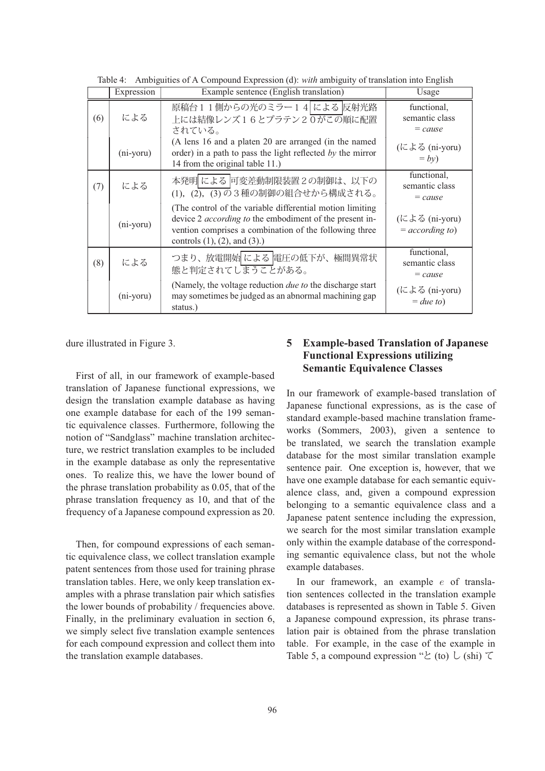|     | Expression   | Example sentence (English translation)                                                                                                                                                                                          | Usage                                      |
|-----|--------------|---------------------------------------------------------------------------------------------------------------------------------------------------------------------------------------------------------------------------------|--------------------------------------------|
| (6) | による          | 原稿台11側からの光のミラー14 による 反射光路<br>上には結像レンズ16とプラテン20がこの順に配置<br>されている。                                                                                                                                                                 | functional,<br>semantic class<br>$= cause$ |
|     | $(ni$ -yoru) | (A lens 16 and a platen 20 are arranged (in the named<br>order) in a path to pass the light reflected by the mirror<br>14 from the original table 11.)                                                                          | (による (ni-yoru)<br>$= by$                   |
| (7) | による          | 本発明 による 可変差動制限装置2の制御は、以下の<br>(1), (2), (3)の3種の制御の組合せから構成される。                                                                                                                                                                    | functional,<br>semantic class<br>$= cause$ |
|     | (ni-yoru)    | (The control of the variable differential motion limiting)<br>device 2 <i>according to</i> the embodiment of the present in-<br>vention comprises a combination of the following three<br>controls $(1)$ , $(2)$ , and $(3)$ .) | (による (ni-yoru)<br>$= according to$         |
| (8) | による          | つまり、放電開始 による 電圧の低下が、極間異常状<br>態と判定されてしまうことがある。                                                                                                                                                                                   | functional,<br>semantic class<br>$= cause$ |
|     | $(ni$ -yoru) | (Namely, the voltage reduction <i>due to</i> the discharge start<br>may sometimes be judged as an abnormal machining gap<br>status.)                                                                                            | (による (ni-yoru)<br>$=$ due to)              |

Table 4: Ambiguities of A Compound Expression (d): *with* ambiguity of translation into English

dure illustrated in Figure 3.

First of all, in our framework of example-based translation of Japanese functional expressions, we design the translation example database as having one example database for each of the 199 semantic equivalence classes. Furthermore, following the notion of "Sandglass" machine translation architecture, we restrict translation examples to be included in the example database as only the representative ones. To realize this, we have the lower bound of the phrase translation probability as 0.05, that of the phrase translation frequency as 10, and that of the frequency of a Japanese compound expression as 20.

Then, for compound expressions of each semantic equivalence class, we collect translation example patent sentences from those used for training phrase translation tables. Here, we only keep translation examples with a phrase translation pair which satisfies the lower bounds of probability / frequencies above. Finally, in the preliminary evaluation in section 6, we simply select five translation example sentences for each compound expression and collect them into the translation example databases.

# **5 Example-based Translation of Japanese Functional Expressions utilizing Semantic Equivalence Classes**

In our framework of example-based translation of Japanese functional expressions, as is the case of standard example-based machine translation frameworks (Sommers, 2003), given a sentence to be translated, we search the translation example database for the most similar translation example sentence pair. One exception is, however, that we have one example database for each semantic equivalence class, and, given a compound expression belonging to a semantic equivalence class and a Japanese patent sentence including the expression, we search for the most similar translation example only within the example database of the corresponding semantic equivalence class, but not the whole example databases.

In our framework, an example e of translation sentences collected in the translation example databases is represented as shown in Table 5. Given a Japanese compound expression, its phrase translation pair is obtained from the phrase translation table. For example, in the case of the example in Table 5, a compound expression " $\Sigma$  (to)  $\cup$  (shi)  $\tau$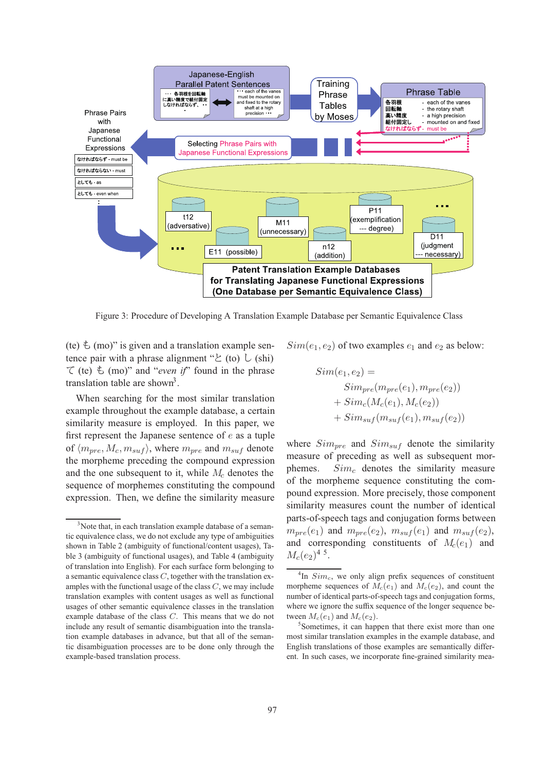

Figure 3: Procedure of Developing A Translation Example Database per Semantic Equivalence Class

(te)  $\&$  (mo)" is given and a translation example sentence pair with a phrase alignment " $\&$  (to)  $\&$  (shi)  $\tau$  (te)  $\zeta$  (mo)" and "*even if*" found in the phrase translation table are shown<sup>3</sup>.

When searching for the most similar translation example throughout the example database, a certain similarity measure is employed. In this paper, we first represent the Japanese sentence of  $e$  as a tuple of  $\langle m_{pre}, M_c, m_{surf} \rangle$ , where  $m_{pre}$  and  $m_{surf}$  denote the morpheme preceding the compound expression and the one subsequent to it, while  $M_c$  denotes the sequence of morphemes constituting the compound expression. Then, we define the similarity measure

 $Sim(e_1, e_2)$  of two examples  $e_1$  and  $e_2$  as below:

$$
Sim(e_1, e_2) =\n \nSim_{pre}(m_{pre}(e_1), m_{pre}(e_2))\n \n + Sim_c(M_c(e_1), M_c(e_2))\n \n + Sim_{suf}(m_{suf}(e_1), m_{suf}(e_2))
$$

where  $Sim_{pre}$  and  $Sim_{surf}$  denote the similarity measure of preceding as well as subsequent morphemes.  $Sim<sub>c</sub>$  denotes the similarity measure of the morpheme sequence constituting the compound expression. More precisely, those component similarity measures count the number of identical parts-of-speech tags and conjugation forms between  $m_{pre}(e_1)$  and  $m_{pre}(e_2)$ ,  $m_{suf}(e_1)$  and  $m_{suf}(e_2)$ , and corresponding constituents of  $M_c(e_1)$  and  $M_c(e_2)^{4.5}$ .

<sup>&</sup>lt;sup>3</sup>Note that, in each translation example database of a semantic equivalence class, we do not exclude any type of ambiguities shown in Table 2 (ambiguity of functional/content usages), Table 3 (ambiguity of functional usages), and Table 4 (ambiguity of translation into English). For each surface form belonging to a semantic equivalence class  $C$ , together with the translation examples with the functional usage of the class  $C$ , we may include translation examples with content usages as well as functional usages of other semantic equivalence classes in the translation example database of the class C. This means that we do not include any result of semantic disambiguation into the translation example databases in advance, but that all of the semantic disambiguation processes are to be done only through the example-based translation process.

 ${}^{4}$ In  $Sim_c$ , we only align prefix sequences of constituent morpheme sequences of  $M_c(e_1)$  and  $M_c(e_2)$ , and count the number of identical parts-of-speech tags and conjugation forms, where we ignore the suffix sequence of the longer sequence between  $M_c(e_1)$  and  $M_c(e_2)$ .

<sup>5</sup> Sometimes, it can happen that there exist more than one most similar translation examples in the example database, and English translations of those examples are semantically different. In such cases, we incorporate fine-grained similarity mea-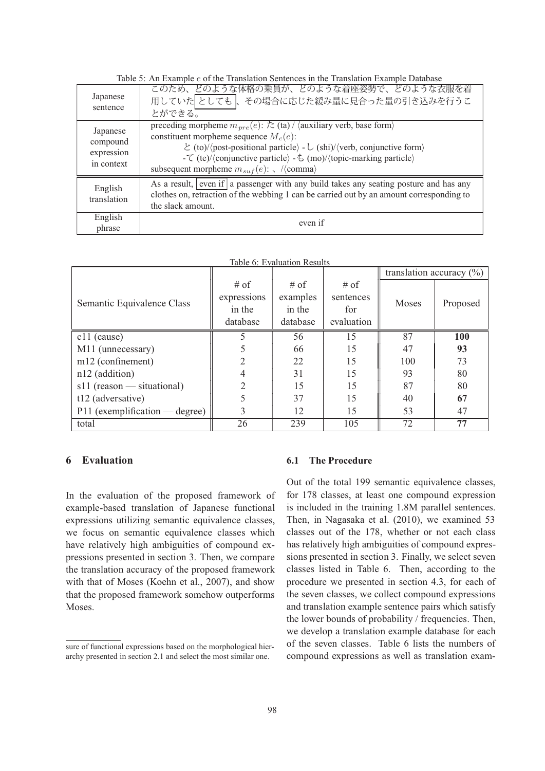| Japanese<br>sentence                             | このため、どのような体格の乗員が、どのような着座姿勢で、どのような衣服を着<br>用していたとしても、その場合に応じた緩み量に見合った量の引き込みを行うこ<br>とができる。                                                                                                                                                                                                                                                                                                                                                                                                   |
|--------------------------------------------------|-------------------------------------------------------------------------------------------------------------------------------------------------------------------------------------------------------------------------------------------------------------------------------------------------------------------------------------------------------------------------------------------------------------------------------------------------------------------------------------------|
| Japanese<br>compound<br>expression<br>in context | preceding morpheme $m_{pre}(e)$ : $\overline{\chi_{\text{(ta)}}/\langle \text{auxiliary verb}, \text{base form} \rangle}$<br>constituent morpheme sequence $M_c(e)$ :<br>$\angle$ (to)/ $\langle$ post-positional particle $\rangle$ - $\cup$ (shi)/ $\langle$ verb, conjunctive form $\rangle$<br>- $\zeta$ (te)/ $\langle$ conjunctive particle $\rangle$ - $\zeta$ (mo)/ $\langle$ topic-marking particle $\rangle$<br>subsequent morpheme $m_{\text{surf}}(e)$ : $\sqrt{\text{comm}}$ |
| English<br>translation                           | As a result, even if a passenger with any build takes any seating posture and has any<br>clothes on, retraction of the webbing 1 can be carried out by an amount corresponding to<br>the slack amount.                                                                                                                                                                                                                                                                                    |
| English<br>phrase                                | even if                                                                                                                                                                                                                                                                                                                                                                                                                                                                                   |

Table 5: An Example e of the Translation Sentences in the Translation Example Database

| Table 6: Evaluation Results      |                |          |            |                              |            |
|----------------------------------|----------------|----------|------------|------------------------------|------------|
|                                  |                |          |            | translation accuracy $(\% )$ |            |
|                                  | $#$ of         | $#$ of   | # of       |                              |            |
| Semantic Equivalence Class       | expressions    | examples | sentences  | Moses                        |            |
|                                  | in the         | in the   | for        |                              | Proposed   |
|                                  | database       | database | evaluation |                              |            |
| $c11$ (cause)                    |                | 56       | 15         | 87                           | <b>100</b> |
| M11 (unnecessary)                |                | 66       | 15         | 47                           | 93         |
| m12 (confinement)                | 2              | 22       | 15         | 100                          | 73         |
| $n12$ (addition)                 | 4              | 31       | 15         | 93                           | 80         |
| $s11$ (reason — situational)     | $\mathfrak{D}$ | 15       | 15         | 87                           | 80         |
| t12 (adversative)                |                | 37       | 15         | 40                           | 67         |
| $P11$ (exemplification — degree) | 3              | 12       | 15         | 53                           | 47         |
| total                            | 26             | 239      | 105        | 72                           | 77         |

### **6 Evaluation**

In the evaluation of the proposed framework of example-based translation of Japanese functional expressions utilizing semantic equivalence classes, we focus on semantic equivalence classes which have relatively high ambiguities of compound expressions presented in section 3. Then, we compare the translation accuracy of the proposed framework with that of Moses (Koehn et al., 2007), and show that the proposed framework somehow outperforms Moses.

### **6.1 The Procedure**

Out of the total 199 semantic equivalence classes, for 178 classes, at least one compound expression is included in the training 1.8M parallel sentences. Then, in Nagasaka et al. (2010), we examined 53 classes out of the 178, whether or not each class has relatively high ambiguities of compound expressions presented in section 3. Finally, we select seven classes listed in Table 6. Then, according to the procedure we presented in section 4.3, for each of the seven classes, we collect compound expressions and translation example sentence pairs which satisfy the lower bounds of probability / frequencies. Then, we develop a translation example database for each of the seven classes. Table 6 lists the numbers of compound expressions as well as translation exam-

sure of functional expressions based on the morphological hierarchy presented in section 2.1 and select the most similar one.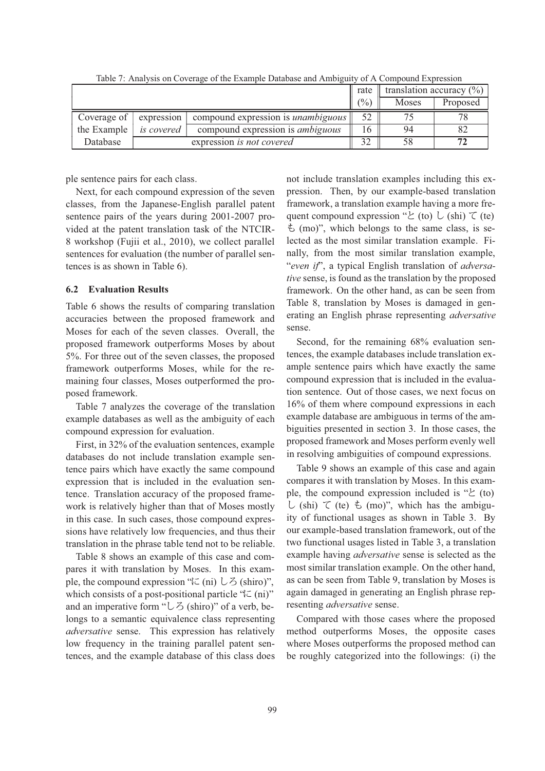|             |            |                                           | rate              |       | translation accuracy $(\%)$ |
|-------------|------------|-------------------------------------------|-------------------|-------|-----------------------------|
|             |            |                                           | $\frac{(0)}{(0)}$ | Moses | Proposed                    |
| Coverage of | expression | compound expression is <i>unambiguous</i> |                   |       | 78                          |
| the Example | is covered | compound expression is <i>ambiguous</i>   | (ე                | 94    |                             |
| Database    |            | expression is not covered                 | ົາ                | 58    | רד                          |

Table 7: Analysis on Coverage of the Example Database and Ambiguity of A Compound Expression

ple sentence pairs for each class.

Next, for each compound expression of the seven classes, from the Japanese-English parallel patent sentence pairs of the years during 2001-2007 provided at the patent translation task of the NTCIR-8 workshop (Fujii et al., 2010), we collect parallel sentences for evaluation (the number of parallel sentences is as shown in Table 6).

#### **6.2 Evaluation Results**

Table 6 shows the results of comparing translation accuracies between the proposed framework and Moses for each of the seven classes. Overall, the proposed framework outperforms Moses by about 5%. For three out of the seven classes, the proposed framework outperforms Moses, while for the remaining four classes, Moses outperformed the proposed framework.

Table 7 analyzes the coverage of the translation example databases as well as the ambiguity of each compound expression for evaluation.

First, in 32% of the evaluation sentences, example databases do not include translation example sentence pairs which have exactly the same compound expression that is included in the evaluation sentence. Translation accuracy of the proposed framework is relatively higher than that of Moses mostly in this case. In such cases, those compound expressions have relatively low frequencies, and thus their translation in the phrase table tend not to be reliable.

Table 8 shows an example of this case and compares it with translation by Moses. In this example, the compound expression " $\kappa$  (ni)  $\delta$  (shiro)", which consists of a post-positional particle " $\zeta$  (ni)" and an imperative form " $\cup$  3 (shiro)" of a verb, belongs to a semantic equivalence class representing *adversative* sense. This expression has relatively low frequency in the training parallel patent sentences, and the example database of this class does

not include translation examples including this expression. Then, by our example-based translation framework, a translation example having a more frequent compound expression " $\geq$  (to)  $\cup$  (shi)  $\subset$  (te)  $\pm$  (mo)", which belongs to the same class, is selected as the most similar translation example. Finally, from the most similar translation example, "*even if*", a typical English translation of *adversative* sense, is found as the translation by the proposed framework. On the other hand, as can be seen from Table 8, translation by Moses is damaged in generating an English phrase representing *adversative* sense.

Second, for the remaining 68% evaluation sentences, the example databases include translation example sentence pairs which have exactly the same compound expression that is included in the evaluation sentence. Out of those cases, we next focus on 16% of them where compound expressions in each example database are ambiguous in terms of the ambiguities presented in section 3. In those cases, the proposed framework and Moses perform evenly well in resolving ambiguities of compound expressions.

Table 9 shows an example of this case and again compares it with translation by Moses. In this example, the compound expression included is " $\&$  (to) し (shi) て (te) も (mo)", which has the ambiguity of functional usages as shown in Table 3. By our example-based translation framework, out of the two functional usages listed in Table 3, a translation example having *adversative* sense is selected as the most similar translation example. On the other hand, as can be seen from Table 9, translation by Moses is again damaged in generating an English phrase representing *adversative* sense.

Compared with those cases where the proposed method outperforms Moses, the opposite cases where Moses outperforms the proposed method can be roughly categorized into the followings: (i) the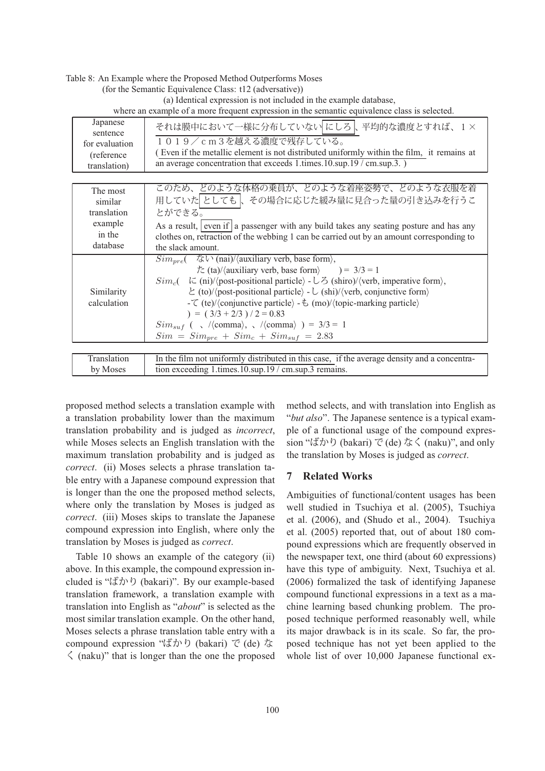|  |  |  | Table 8: An Example where the Proposed Method Outperforms Moses |
|--|--|--|-----------------------------------------------------------------|
|--|--|--|-----------------------------------------------------------------|

(for the Semantic Equivalence Class: t12 (adversative))

(a) Identical expression is not included in the example database,

where an example of a more frequent expression in the semantic equivalence class is selected.

| Japanese<br>sentence<br>for evaluation<br>(reference)<br>translation) | それは膜中において一様に分布していない にしろ 、平均的な濃度とすれば、1×<br>1019/cm3を越える濃度で残存している。<br>Even if the metallic element is not distributed uniformly within the film, it remains at<br>an average concentration that exceeds 1.times.10.sup.19 / cm.sup.3.)                                                                                                                                                                                                                                                                                                                                                                                                                                                           |  |
|-----------------------------------------------------------------------|------------------------------------------------------------------------------------------------------------------------------------------------------------------------------------------------------------------------------------------------------------------------------------------------------------------------------------------------------------------------------------------------------------------------------------------------------------------------------------------------------------------------------------------------------------------------------------------------------------------------------------------------------------------------------------------------|--|
| The most<br>similar<br>translation<br>example<br>in the<br>database   | このため、どのような体格の乗員が、どのような着座姿勢で、どのような衣服を着<br>用していたとしても、その場合に応じた緩み量に見合った量の引き込みを行うこ<br>とができる。<br>As a result, even if a passenger with any build takes any seating posture and has any<br>clothes on, retraction of the webbing 1 can be carried out by an amount corresponding to<br>the slack amount.                                                                                                                                                                                                                                                                                                                                                                                              |  |
| Similarity<br>calculation                                             | $Sim_{pre}$ $\left( \quad \forall x \vee (nai) / \langle auxiliary \rangle \right)$ , base form),<br>$\dot{\mathcal{T}}$ (ta)/ $\langle$ auxiliary verb, base form $\rangle$ = 3/3 = 1<br>$Sim_c$ $\leftarrow$ (ni)//post-positional particle) - $\cup$ 5 (shiro)//verb, imperative form),<br>$\angle$ (to)/ $\langle$ post-positional particle $\rangle$ - $\cup$ (shi)/ $\langle$ verb, conjunctive form $\rangle$<br>- $\zeta$ (te)/(conjunctive particle) - $\zeta$ (mo)/(topic-marking particle)<br>$) = (3/3 + 2/3)/2 = 0.83$<br>$Sim_{suf}$ ( $\sqrt{\langle \text{comma} \rangle}$ , $\sqrt{\langle \text{comma} \rangle}$ ) = 3/3 = 1<br>$Sim = Sim_{pre} + Sim_c + Sim_{suf} = 2.83$ |  |
| Translation                                                           | In the film not uniformly distributed in this case, if the average density and a concentra-                                                                                                                                                                                                                                                                                                                                                                                                                                                                                                                                                                                                    |  |

tion exceeding 1.times.10.sup.19 / cm.sup.3 remains.

proposed method selects a translation example with a translation probability lower than the maximum translation probability and is judged as *incorrect*, while Moses selects an English translation with the maximum translation probability and is judged as *correct*. (ii) Moses selects a phrase translation table entry with a Japanese compound expression that is longer than the one the proposed method selects, where only the translation by Moses is judged as *correct*. (iii) Moses skips to translate the Japanese compound expression into English, where only the translation by Moses is judged as *correct*.

by Moses

Table 10 shows an example of the category (ii) above. In this example, the compound expression included is "ばかり (bakari)". By our example-based translation framework, a translation example with translation into English as "*about*" is selected as the most similar translation example. On the other hand, Moses selects a phrase translation table entry with a compound expression "ばかり (bakari) で (de) な  $\zeta$  (naku)" that is longer than the one the proposed

method selects, and with translation into English as "*but also*". The Japanese sentence is a typical example of a functional usage of the compound expression "ばかり (bakari) で (de) なく (naku)", and only the translation by Moses is judged as *correct*.

### **7 Related Works**

Ambiguities of functional/content usages has been well studied in Tsuchiya et al. (2005), Tsuchiya et al. (2006), and (Shudo et al., 2004). Tsuchiya et al. (2005) reported that, out of about 180 compound expressions which are frequently observed in the newspaper text, one third (about 60 expressions) have this type of ambiguity. Next, Tsuchiya et al. (2006) formalized the task of identifying Japanese compound functional expressions in a text as a machine learning based chunking problem. The proposed technique performed reasonably well, while its major drawback is in its scale. So far, the proposed technique has not yet been applied to the whole list of over 10,000 Japanese functional ex-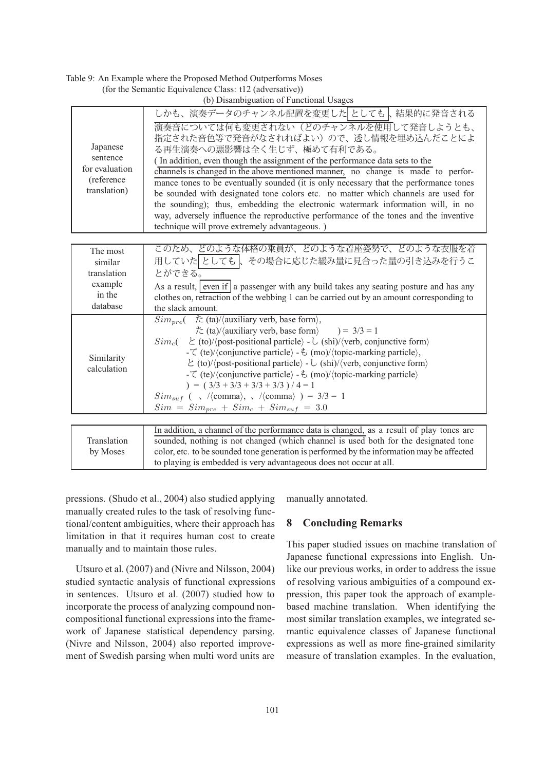Table 9: An Example where the Proposed Method Outperforms Moses (for the Seman

| ntic Equivalence Class: t12 (adversative)) |  |                                         |
|--------------------------------------------|--|-----------------------------------------|
|                                            |  | (b) Disambiguation of Eunational Heages |

|                                                                      | (0) Disamoiguation of Functional Osages                                                                                                                                                                                                                                                                                                                                                                                                                                                                                                                                                                                                                                                                                           |
|----------------------------------------------------------------------|-----------------------------------------------------------------------------------------------------------------------------------------------------------------------------------------------------------------------------------------------------------------------------------------------------------------------------------------------------------------------------------------------------------------------------------------------------------------------------------------------------------------------------------------------------------------------------------------------------------------------------------------------------------------------------------------------------------------------------------|
| Japanese<br>sentence<br>for evaluation<br>(reference<br>translation) | しかも、演奏データのチャンネル配置を変更したとしても、結果的に発音される<br>演奏音については何も変更されない(どのチャンネルを使用して発音しようとも、<br>指定された音色等で発音がなされればよい)ので、透し情報を埋め込んだことによ<br>る再生演奏への悪影響は全く生じず、極めて有利である。<br>(In addition, even though the assignment of the performance data sets to the<br>channels is changed in the above mentioned manner, no change is made to perfor-<br>mance tones to be eventually sounded (it is only necessary that the performance tones<br>be sounded with designated tone colors etc. no matter which channels are used for<br>the sounding); thus, embedding the electronic watermark information will, in no<br>way, adversely influence the reproductive performance of the tones and the inventive<br>technique will prove extremely advantageous.) |
|                                                                      |                                                                                                                                                                                                                                                                                                                                                                                                                                                                                                                                                                                                                                                                                                                                   |
| The most<br>similar<br>translation<br>example<br>in the<br>database  | このため、どのような体格の乗員が、どのような着座姿勢で、どのような衣服を着<br>用していた としても ↓ その場合に応じた緩み量に見合った量の引き込みを行うこ<br>とができる。<br>As a result, even if a passenger with any build takes any seating posture and has any<br>clothes on, retraction of the webbing 1 can be carried out by an amount corresponding to<br>the slack amount.                                                                                                                                                                                                                                                                                                                                                                                                                              |
| Similarity<br>calculation                                            | $Sim_{pre}$ $\leftarrow$ $\frac{\text{t}}{\text{t}}$ (ta)/ $\langle$ auxiliary verb, base form),<br>$\dot{\mathcal{T}}$ (ta)/(auxiliary verb, base form) $= 3/3 = 1$<br>$\angle$ (to)//post-positional particle/ - $\cup$ (shi)//verb, conjunctive form/<br>$Sim_c($<br>- $\zeta$ (te)/(conjunctive particle) - $\zeta$ (mo)/(topic-marking particle),<br>$\angle$ (to)//post-positional particle) - $\cup$ (shi)//verb, conjunctive form)<br>- $\zeta$ (te)/(conjunctive particle) - $\zeta$ (mo)/(topic-marking particle)<br>$) = (3/3 + 3/3 + 3/3 + 3/3) / 4 = 1$<br>$Sim_{suf}$ ( $\sqrt{\langle comm}$ ), $\sqrt{\langle comm}$ ) = 3/3 = 1<br>$Sim = Sim_{pre} + Sim_c + Sim_{suf} = 3.0$                                   |
|                                                                      |                                                                                                                                                                                                                                                                                                                                                                                                                                                                                                                                                                                                                                                                                                                                   |
| Translation<br>by Moses                                              | In addition, a channel of the performance data is changed, as a result of play tones are<br>sounded, nothing is not changed (which channel is used both for the designated tone<br>color, etc. to be sounded tone generation is performed by the information may be affected<br>to playing is embedded is very advantageous does not occur at all.                                                                                                                                                                                                                                                                                                                                                                                |

pressions. (Shudo et al., 2004) also studied applying manually created rules to the task of resolving functional/content ambiguities, where their approach has limitation in that it requires human cost to create manually and to maintain those rules.

Utsuro et al. (2007) and (Nivre and Nilsson, 2004) studied syntactic analysis of functional expressions in sentences. Utsuro et al. (2007) studied how to incorporate the process of analyzing compound noncompositional functional expressions into the framework of Japanese statistical dependency parsing. (Nivre and Nilsson, 2004) also reported improvement of Swedish parsing when multi word units are manually annotated.

# **8 Concluding Remarks**

This paper studied issues on machine translation of Japanese functional expressions into English. Unlike our previous works, in order to address the issue of resolving various ambiguities of a compound expression, this paper took the approach of examplebased machine translation. When identifying the most similar translation examples, we integrated semantic equivalence classes of Japanese functional expressions as well as more fine-grained similarity measure of translation examples. In the evaluation,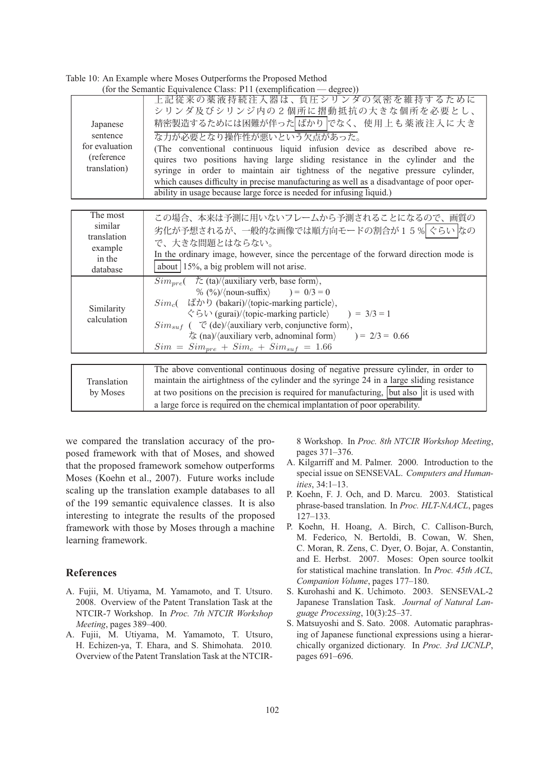| (for the Semantic Equivalence Class: P11 (exemplification — degree)) |                                                                                                                                                                                                                                                                                                                                                                                                                                                                                                                                                            |  |  |
|----------------------------------------------------------------------|------------------------------------------------------------------------------------------------------------------------------------------------------------------------------------------------------------------------------------------------------------------------------------------------------------------------------------------------------------------------------------------------------------------------------------------------------------------------------------------------------------------------------------------------------------|--|--|
| Japanese<br>sentence<br>for evaluation<br>(reference<br>translation) | 上記従来の薬液持続注入器は、負圧シリンダの気密を維持するために<br>シリンダ及びシリンジ内の2個所に摺動抵抗の大きな個所を必要とし、<br>精密製造するためには困難が伴った ばかり でなく、使用上も薬液注入に大き<br>な力が必要となり操作性が悪いという欠点があった。<br>(The conventional continuous liquid infusion device as described above re-<br>quires two positions having large sliding resistance in the cylinder and the<br>syringe in order to maintain air tightness of the negative pressure cylinder,<br>which causes difficulty in precise manufacturing as well as a disadvantage of poor oper-<br>ability in usage because large force is needed for infusing liquid.) |  |  |
|                                                                      |                                                                                                                                                                                                                                                                                                                                                                                                                                                                                                                                                            |  |  |
| The most<br>similar<br>translation<br>example<br>in the<br>database  | この場合、本来は予測に用いないフレームから予測されることになるので、画質の<br>劣化が予想されるが、一般的な画像では順方向モードの割合が15% ぐらい なの<br>で、大きな問題とはならない。<br>In the ordinary image, however, since the percentage of the forward direction mode is<br>about 15%, a big problem will not arise.                                                                                                                                                                                                                                                                                                                     |  |  |
| Similarity<br>calculation                                            | $Sim_{pre}$ $\langle \angle$ ta)/ $\langle$ auxiliary verb, base form $\rangle$ ,<br>% $(\frac{6}{6})/(\text{noun-suffix}) = 0/3 = 0$<br>$Sim_c$ ( $\sharp \mathcal{D}$ ) (bakari)/(topic-marking particle),<br>$\Diamond$ 5 $\lor$ (gurai)/ $\langle$ topic-marking particle $\rangle$ = 3/3 = 1<br>$Sim_{suf}$ ( $\mathcal{C}$ (de)//auxiliary verb, conjunctive form),<br>$\frac{1}{6}$ (na)/ $\langle$ auxiliary verb, adnominal form $\rangle$<br>$) = 2/3 = 0.66$<br>$Sim = Sim_{pre} + Sim_c + Sim_{suf} = 1.66$                                    |  |  |
|                                                                      |                                                                                                                                                                                                                                                                                                                                                                                                                                                                                                                                                            |  |  |
| Translation<br>by Moses                                              | The above conventional continuous dosing of negative pressure cylinder, in order to<br>maintain the airtightness of the cylinder and the syringe 24 in a large sliding resistance<br>at two positions on the precision is required for manufacturing, but also it is used with                                                                                                                                                                                                                                                                             |  |  |

a large force is required on the chemical implantation of poor operability.

Table 10: An Example where Moses Outperforms the Proposed Method

we compared the translation accuracy of the proposed framework with that of Moses, and showed that the proposed framework somehow outperforms Moses (Koehn et al., 2007). Future works include scaling up the translation example databases to all of the 199 semantic equivalence classes. It is also interesting to integrate the results of the proposed framework with those by Moses through a machine learning framework.

### **References**

- A. Fujii, M. Utiyama, M. Yamamoto, and T. Utsuro. 2008. Overview of the Patent Translation Task at the NTCIR-7 Workshop. In *Proc. 7th NTCIR Workshop Meeting*, pages 389–400.
- A. Fujii, M. Utiyama, M. Yamamoto, T. Utsuro, H. Echizen-ya, T. Ehara, and S. Shimohata. 2010. Overview of the Patent Translation Task at the NTCIR-

8 Workshop. In *Proc. 8th NTCIR Workshop Meeting*, pages 371–376.

- A. Kilgarriff and M. Palmer. 2000. Introduction to the special issue on SENSEVAL. *Computers and Humanities*, 34:1–13.
- P. Koehn, F. J. Och, and D. Marcu. 2003. Statistical phrase-based translation. In *Proc. HLT-NAACL*, pages 127–133.
- P. Koehn, H. Hoang, A. Birch, C. Callison-Burch, M. Federico, N. Bertoldi, B. Cowan, W. Shen, C. Moran, R. Zens, C. Dyer, O. Bojar, A. Constantin, and E. Herbst. 2007. Moses: Open source toolkit for statistical machine translation. In *Proc. 45th ACL, Companion Volume*, pages 177–180.
- S. Kurohashi and K. Uchimoto. 2003. SENSEVAL-2 Japanese Translation Task. *Journal of Natural Language Processing*, 10(3):25–37.
- S. Matsuyoshi and S. Sato. 2008. Automatic paraphrasing of Japanese functional expressions using a hierarchically organized dictionary. In *Proc. 3rd IJCNLP*, pages 691–696.